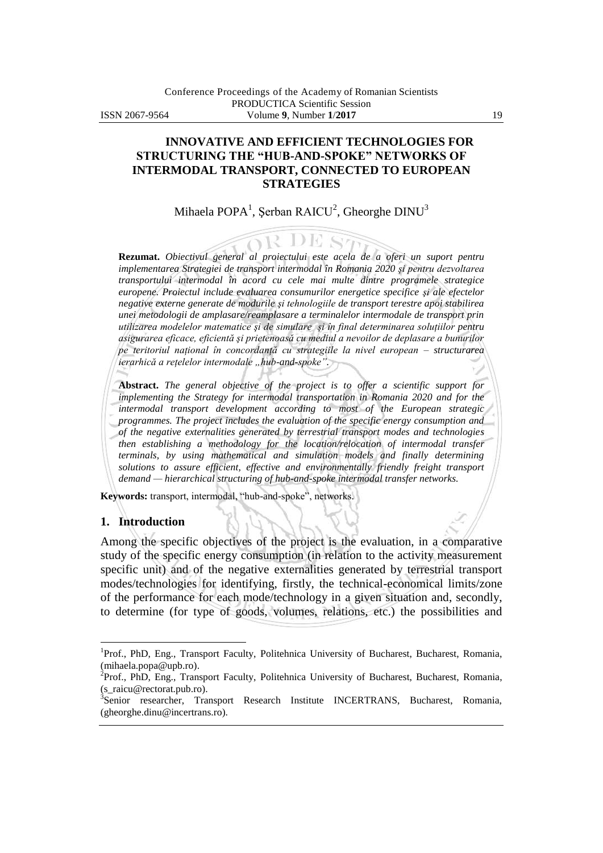## **INNOVATIVE AND EFFICIENT TECHNOLOGIES FOR STRUCTURING THE "HUB-AND-SPOKE" NETWORKS OF INTERMODAL TRANSPORT, CONNECTED TO EUROPEAN STRATEGIES**

# Mihaela POPA $^1$ , Șerban RAICU $^2$ , Gheorghe DINU $^3$

OR DE ST **Rezumat.** *Obiectivul general al proiectului este acela de a oferi un suport pentru implementarea Strategiei de transport intermodal în Romania 2020 şi pentru dezvoltarea transportului intermodal în acord cu cele mai multe dintre programele strategice europene. Proiectul include evaluarea consumurilor energetice specifice şi ale efectelor negative externe generate de modurile şi tehnologiile de transport terestre apoi stabilirea unei metodologii de amplasare/reamplasare a terminalelor intermodale de transport prin utilizarea modelelor matematice şi de simulare şi în final determinarea soluţiilor pentru asigurarea eficace, eficientă şi prietenoasă cu mediul a nevoilor de deplasare a bunurilor pe teritoriul naţional în concordanţă cu strategiile la nivel european – structurarea ierarhică a reţelelor intermodale "hub-and-spoke".*

**Abstract.** *The general objective of the project is to offer a scientific support for implementing the Strategy for intermodal transportation in Romania 2020 and for the intermodal transport development according to most of the European strategic programmes. The project includes the evaluation of the specific energy consumption and of the negative externalities generated by terrestrial transport modes and technologies then establishing a methodology for the location/relocation of intermodal transfer terminals, by using mathematical and simulation models and finally determining solutions to assure efficient, effective and environmentally friendly freight transport demand — hierarchical structuring of hub-and-spoke intermodal transfer networks.*

**Keywords:** transport, intermodal, "hub-and-spoke", networks.

#### **1. Introduction**

 $\overline{a}$ 

Among the specific objectives of the project is the evaluation, in a comparative study of the specific energy consumption (in relation to the activity measurement specific unit) and of the negative externalities generated by terrestrial transport modes/technologies for identifying, firstly, the technical-economical limits/zone of the performance for each mode/technology in a given situation and, secondly, to determine (for type of goods, volumes, relations, etc.) the possibilities and

<sup>&</sup>lt;sup>1</sup>Prof., PhD, Eng., Transport Faculty, Politehnica University of Bucharest, Bucharest, Romania, (mihaela.popa@upb.ro).

<sup>&</sup>lt;sup>2</sup>Prof., PhD, Eng., Transport Faculty, Politehnica University of Bucharest, Bucharest, Romania, (s\_raicu@rectorat.pub.ro).

<sup>&</sup>lt;sup>3</sup>Senior researcher, Transport Research Institute INCERTRANS, Bucharest, Romania, (gheorghe.dinu@incertrans.ro).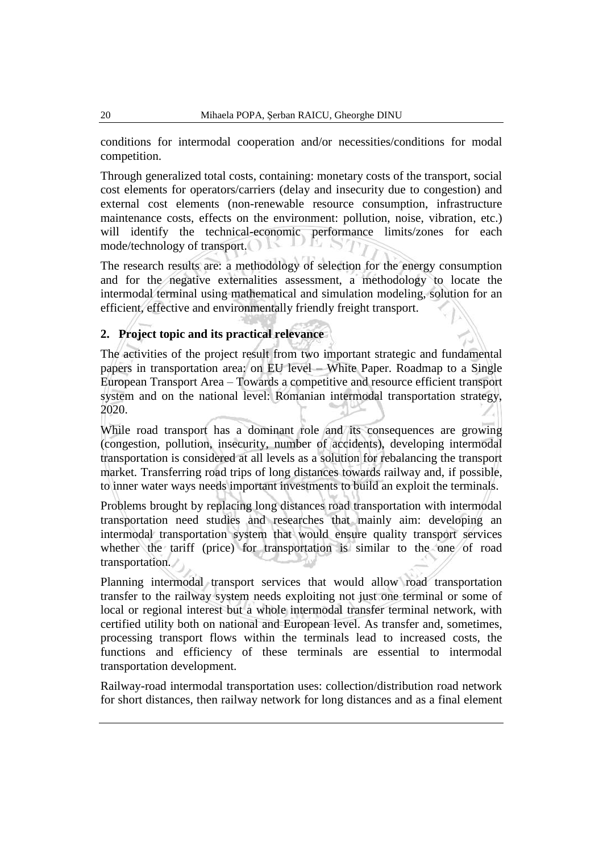conditions for intermodal cooperation and/or necessities/conditions for modal competition.

Through generalized total costs, containing: monetary costs of the transport, social cost elements for operators/carriers (delay and insecurity due to congestion) and external cost elements (non-renewable resource consumption, infrastructure maintenance costs, effects on the environment: pollution, noise, vibration, etc.) will identify the technical-economic performance limits/zones for each mode/technology of transport.

The research results are: a methodology of selection for the energy consumption and for the negative externalities assessment, a methodology to locate the intermodal terminal using mathematical and simulation modeling, solution for an efficient, effective and environmentally friendly freight transport.

### **2. Project topic and its practical relevance**

The activities of the project result from two important strategic and fundamental papers in transportation area: on EU level – White Paper. Roadmap to a Single European Transport Area – Towards a competitive and resource efficient transport system and on the national level: Romanian intermodal transportation strategy, 2020.

While road transport has a dominant role and its consequences are growing (congestion, pollution, insecurity, number of accidents), developing intermodal transportation is considered at all levels as a solution for rebalancing the transport market. Transferring road trips of long distances towards railway and, if possible, to inner water ways needs important investments to build an exploit the terminals.

Problems brought by replacing long distances road transportation with intermodal transportation need studies and researches that mainly aim: developing an intermodal transportation system that would ensure quality transport services whether the tariff (price) for transportation is similar to the one of road transportation.

Planning intermodal transport services that would allow road transportation transfer to the railway system needs exploiting not just one terminal or some of local or regional interest but a whole intermodal transfer terminal network, with certified utility both on national and European level. As transfer and, sometimes, processing transport flows within the terminals lead to increased costs, the functions and efficiency of these terminals are essential to intermodal transportation development.

Railway-road intermodal transportation uses: collection/distribution road network for short distances, then railway network for long distances and as a final element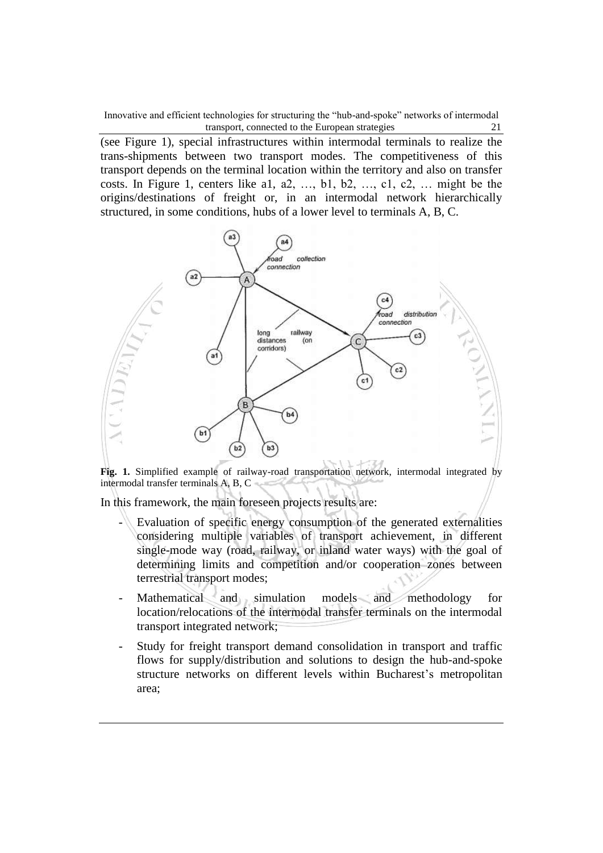(see Figure 1), special infrastructures within intermodal terminals to realize the trans-shipments between two transport modes. The competitiveness of this transport depends on the terminal location within the territory and also on transfer costs. In Figure 1, centers like a1, a2, …, b1, b2, …, c1, c2, … might be the origins/destinations of freight or, in an intermodal network hierarchically structured, in some conditions, hubs of a lower level to terminals A, B, C.



**Fig. 1.** Simplified example of railway-road transportation network, intermodal integrated by intermodal transfer terminals A, B, C

In this framework, the main foreseen projects results are:

- Evaluation of specific energy consumption of the generated externalities considering multiple variables of transport achievement, in different single-mode way (road, railway, or inland water ways) with the goal of determining limits and competition and/or cooperation zones between terrestrial transport modes;
- Mathematical and simulation models and methodology for location/relocations of the intermodal transfer terminals on the intermodal transport integrated network;
- Study for freight transport demand consolidation in transport and traffic flows for supply/distribution and solutions to design the hub-and-spoke structure networks on different levels within Bucharest's metropolitan area;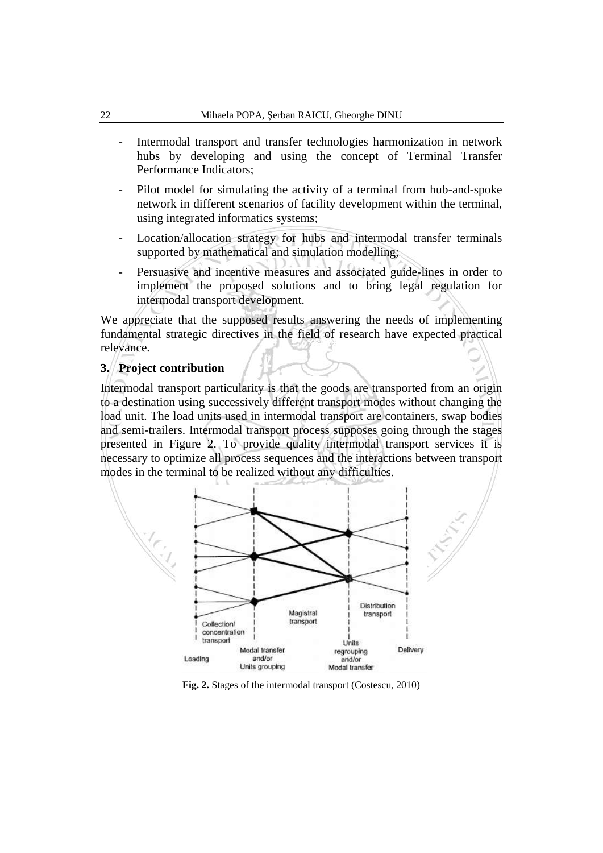- Intermodal transport and transfer technologies harmonization in network hubs by developing and using the concept of Terminal Transfer Performance Indicators;
- Pilot model for simulating the activity of a terminal from hub-and-spoke network in different scenarios of facility development within the terminal, using integrated informatics systems;
- Location/allocation strategy for hubs and intermodal transfer terminals supported by mathematical and simulation modelling;
- Persuasive and incentive measures and associated guide-lines in order to implement the proposed solutions and to bring legal regulation for intermodal transport development.

We appreciate that the supposed results answering the needs of implementing fundamental strategic directives in the field of research have expected practical relevance.

#### **3. Project contribution**

Intermodal transport particularity is that the goods are transported from an origin to a destination using successively different transport modes without changing the load unit. The load units used in intermodal transport are containers, swap bodies and semi-trailers. Intermodal transport process supposes going through the stages presented in Figure 2. To provide quality intermodal transport services it is necessary to optimize all process sequences and the interactions between transport modes in the terminal to be realized without any difficulties.



**Fig. 2.** Stages of the intermodal transport (Costescu, 2010)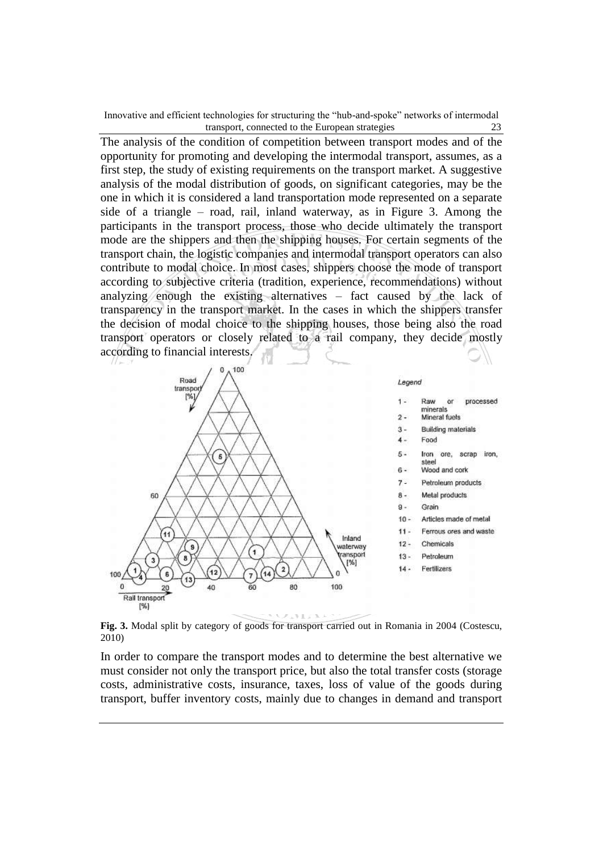The analysis of the condition of competition between transport modes and of the opportunity for promoting and developing the intermodal transport, assumes, as a first step, the study of existing requirements on the transport market. A suggestive analysis of the modal distribution of goods, on significant categories, may be the one in which it is considered a land transportation mode represented on a separate side of a triangle – road, rail, inland waterway, as in Figure 3. Among the participants in the transport process, those who decide ultimately the transport mode are the shippers and then the shipping houses. For certain segments of the transport chain, the logistic companies and intermodal transport operators can also contribute to modal choice. In most cases, shippers choose the mode of transport according to subjective criteria (tradition, experience, recommendations) without analyzing enough the existing alternatives – fact caused by the lack of transparency in the transport market. In the cases in which the shippers transfer the decision of modal choice to the shipping houses, those being also the road transport operators or closely related to a rail company, they decide mostly according to financial interests.



**Fig. 3.** Modal split by category of goods for transport carried out in Romania in 2004 (Costescu, 2010)

In order to compare the transport modes and to determine the best alternative we must consider not only the transport price, but also the total transfer costs (storage costs, administrative costs, insurance, taxes, loss of value of the goods during transport, buffer inventory costs, mainly due to changes in demand and transport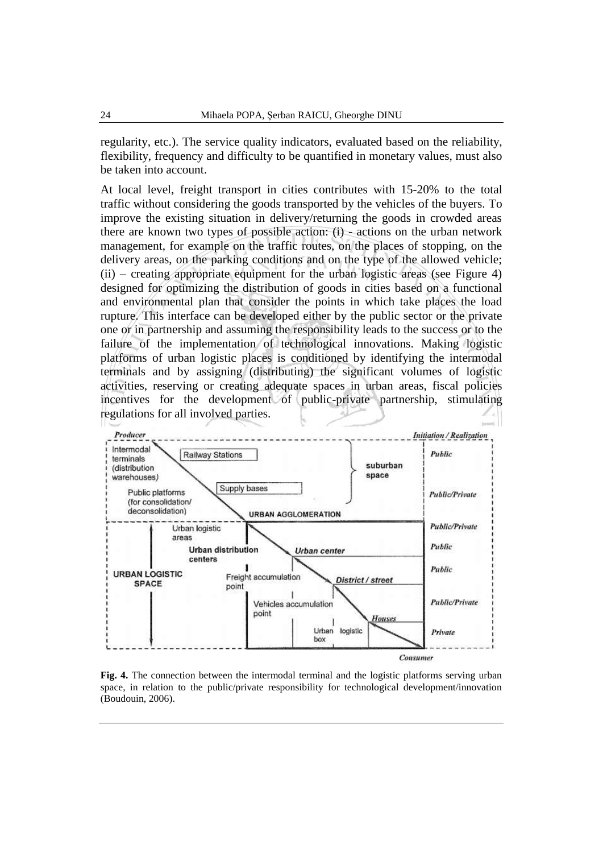regularity, etc.). The service quality indicators, evaluated based on the reliability, flexibility, frequency and difficulty to be quantified in monetary values, must also be taken into account.

At local level, freight transport in cities contributes with 15-20% to the total traffic without considering the goods transported by the vehicles of the buyers. To improve the existing situation in delivery/returning the goods in crowded areas there are known two types of possible action: (i) - actions on the urban network management, for example on the traffic routes, on the places of stopping, on the delivery areas, on the parking conditions and on the type of the allowed vehicle;  $(ii)$  – creating appropriate equipment for the urban logistic areas (see Figure 4) designed for optimizing the distribution of goods in cities based on a functional and environmental plan that consider the points in which take places the load rupture. This interface can be developed either by the public sector or the private one or in partnership and assuming the responsibility leads to the success or to the failure of the implementation of technological innovations. Making logistic platforms of urban logistic places is conditioned by identifying the intermodal terminals and by assigning (distributing) the significant volumes of logistic activities, reserving or creating adequate spaces in urban areas, fiscal policies incentives for the development of public-private partnership, stimulating regulations for all involved parties.



**Fig. 4.** The connection between the intermodal terminal and the logistic platforms serving urban space, in relation to the public/private responsibility for technological development/innovation (Boudouin, 2006).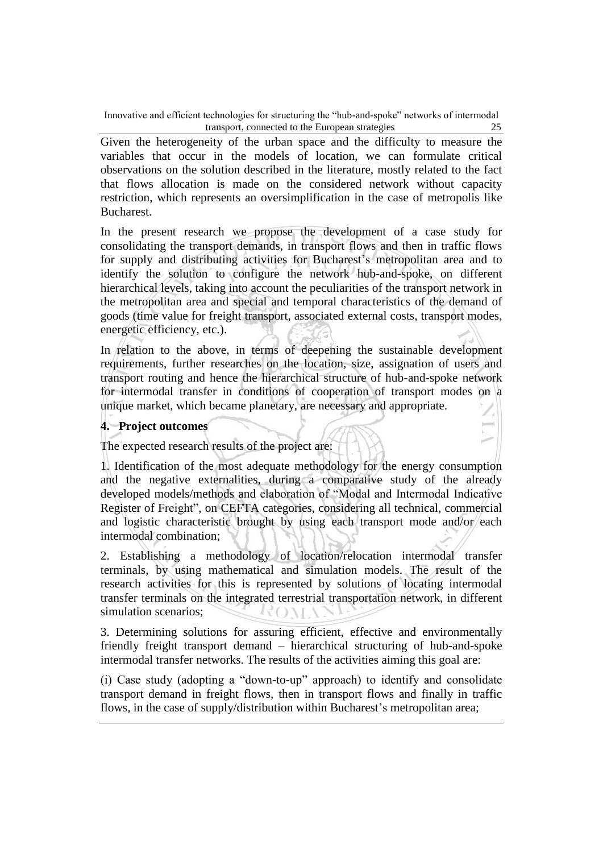Given the heterogeneity of the urban space and the difficulty to measure the variables that occur in the models of location, we can formulate critical observations on the solution described in the literature, mostly related to the fact that flows allocation is made on the considered network without capacity restriction, which represents an oversimplification in the case of metropolis like Bucharest.

In the present research we propose the development of a case study for consolidating the transport demands, in transport flows and then in traffic flows for supply and distributing activities for Bucharest's metropolitan area and to identify the solution to configure the network hub-and-spoke, on different hierarchical levels, taking into account the peculiarities of the transport network in the metropolitan area and special and temporal characteristics of the demand of goods (time value for freight transport, associated external costs, transport modes, energetic efficiency, etc.).

In relation to the above, in terms of deepening the sustainable development requirements, further researches on the location, size, assignation of users and transport routing and hence the hierarchical structure of hub-and-spoke network for intermodal transfer in conditions of cooperation of transport modes on a unique market, which became planetary, are necessary and appropriate.

#### **4. Project outcomes**

The expected research results of the project are:

1. Identification of the most adequate methodology for the energy consumption and the negative externalities, during a comparative study of the already developed models/methods and elaboration of "Modal and Intermodal Indicative Register of Freight", on CEFTA categories, considering all technical, commercial and logistic characteristic brought by using each transport mode and/or each intermodal combination;

2. Establishing a methodology of location/relocation intermodal transfer terminals, by using mathematical and simulation models. The result of the research activities for this is represented by solutions of locating intermodal transfer terminals on the integrated terrestrial transportation network, in different simulation scenarios; ROMA

3. Determining solutions for assuring efficient, effective and environmentally friendly freight transport demand – hierarchical structuring of hub-and-spoke intermodal transfer networks. The results of the activities aiming this goal are:

(i) Case study (adopting a "down-to-up" approach) to identify and consolidate transport demand in freight flows, then in transport flows and finally in traffic flows, in the case of supply/distribution within Bucharest's metropolitan area;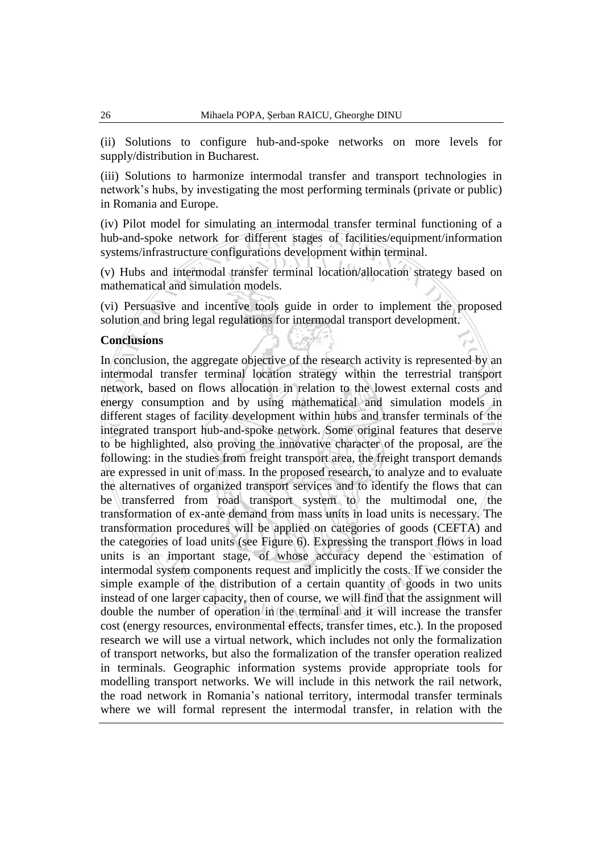(ii) Solutions to configure hub-and-spoke networks on more levels for supply/distribution in Bucharest.

(iii) Solutions to harmonize intermodal transfer and transport technologies in network's hubs, by investigating the most performing terminals (private or public) in Romania and Europe.

(iv) Pilot model for simulating an intermodal transfer terminal functioning of a hub-and-spoke network for different stages of facilities/equipment/information systems/infrastructure configurations development within terminal.

(v) Hubs and intermodal transfer terminal location/allocation strategy based on mathematical and simulation models.

(vi) Persuasive and incentive tools guide in order to implement the proposed solution and bring legal regulations for intermodal transport development.

#### **Conclusions**

In conclusion, the aggregate objective of the research activity is represented by an intermodal transfer terminal location strategy within the terrestrial transport network, based on flows allocation in relation to the lowest external costs and energy consumption and by using mathematical and simulation models in different stages of facility development within hubs and transfer terminals of the integrated transport hub-and-spoke network. Some original features that deserve to be highlighted, also proving the innovative character of the proposal, are the following: in the studies from freight transport area, the freight transport demands are expressed in unit of mass. In the proposed research, to analyze and to evaluate the alternatives of organized transport services and to identify the flows that can be transferred from road transport system to the multimodal one, the transformation of ex-ante demand from mass units in load units is necessary. The transformation procedures will be applied on categories of goods (CEFTA) and the categories of load units (see Figure 6). Expressing the transport flows in load units is an important stage, of whose accuracy depend the estimation of intermodal system components request and implicitly the costs. If we consider the simple example of the distribution of a certain quantity of goods in two units instead of one larger capacity, then of course, we will find that the assignment will double the number of operation in the terminal and it will increase the transfer cost (energy resources, environmental effects, transfer times, etc.). In the proposed research we will use a virtual network, which includes not only the formalization of transport networks, but also the formalization of the transfer operation realized in terminals. Geographic information systems provide appropriate tools for modelling transport networks. We will include in this network the rail network, the road network in Romania's national territory, intermodal transfer terminals where we will formal represent the intermodal transfer, in relation with the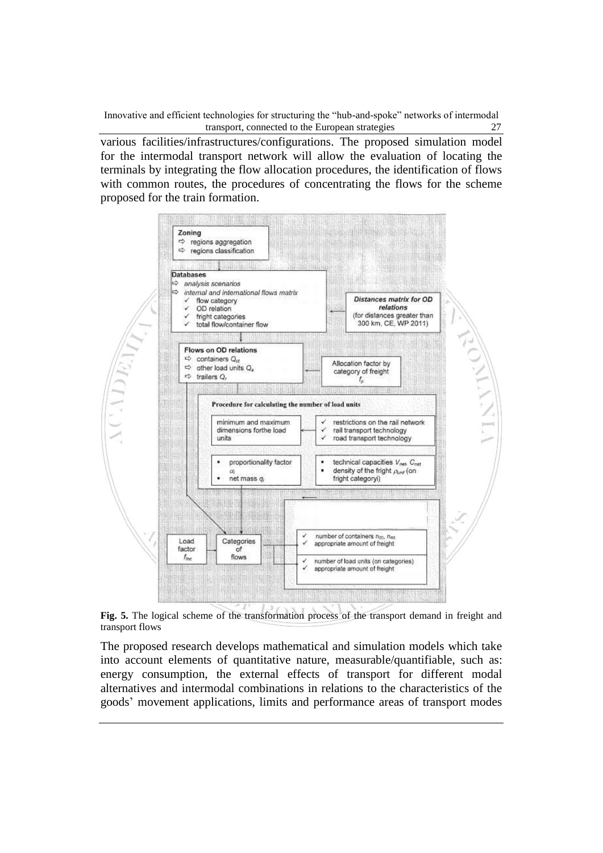various facilities/infrastructures/configurations. The proposed simulation model for the intermodal transport network will allow the evaluation of locating the terminals by integrating the flow allocation procedures, the identification of flows with common routes, the procedures of concentrating the flows for the scheme proposed for the train formation.



**Fig. 5.** The logical scheme of the transformation process of the transport demand in freight and transport flows

The proposed research develops mathematical and simulation models which take into account elements of quantitative nature, measurable/quantifiable, such as: energy consumption, the external effects of transport for different modal alternatives and intermodal combinations in relations to the characteristics of the goods' movement applications, limits and performance areas of transport modes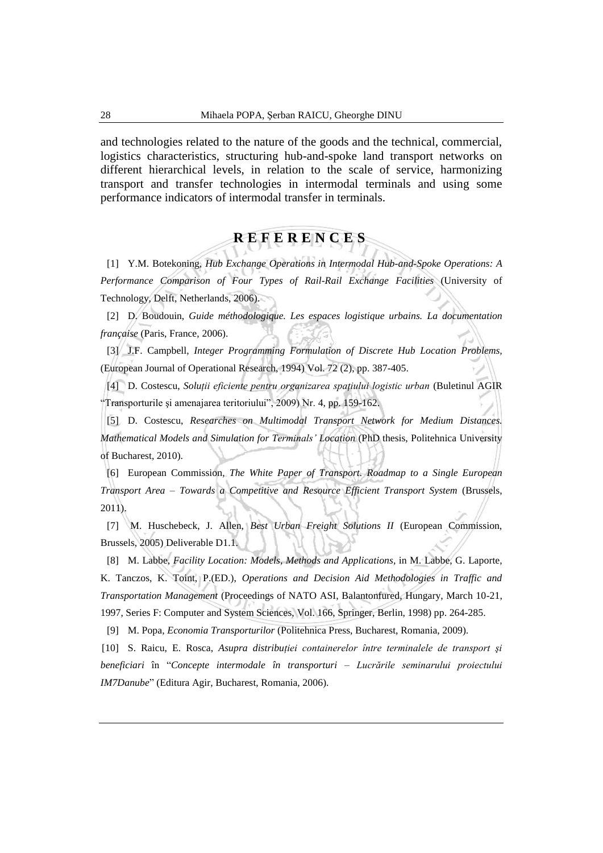and technologies related to the nature of the goods and the technical, commercial, logistics characteristics, structuring hub-and-spoke land transport networks on different hierarchical levels, in relation to the scale of service, harmonizing transport and transfer technologies in intermodal terminals and using some performance indicators of intermodal transfer in terminals.

# **R E F E R E N C E S**

[1] Y.M. Botekoning, *Hub Exchange Operations in Intermodal Hub-and-Spoke Operations: A Performance Comparison of Four Types of Rail-Rail Exchange Facilities* (University of Technology, Delft, Netherlands, 2006).

[2] D. Boudouin, *Guide méthodologique. Les espaces logistique urbains. La documentation française* (Paris, France, 2006).

[3] J.F. Campbell, *Integer Programming Formulation of Discrete Hub Location Problems,*  (European Journal of Operational Research, 1994) Vol. 72 (2), pp. 387-405.

[4] D. Costescu, *Soluţii eficiente pentru organizarea spaţiului logistic urban* (Buletinul AGIR "Transporturile şi amenajarea teritoriului", 2009) Nr. 4, pp. 159-162.

[5] D. Costescu, *Researches on Multimodal Transport Network for Medium Distances. Mathematical Models and Simulation for Terminals' Location* (PhD thesis, Politehnica University of Bucharest, 2010).

[6] European Commission, *The White Paper of Transport. Roadmap to a Single European Transport Area – Towards a Competitive and Resource Efficient Transport System* (Brussels, 2011).

[7] M. Huschebeck, J. Allen, *Best Urban Freight Solutions II* (European Commission, Brussels, 2005) Deliverable D1.1.

[8] M. Labbe, *Facility Location: Models, Methods and Applications,* in M. Labbe, G. Laporte, K. Tanczos, K. Toint, P.(ED.), *Operations and Decision Aid Methodologies in Traffic and Transportation Management* (Proceedings of NATO ASI, Balantonfured, Hungary, March 10-21, 1997, Series F: Computer and System Sciences, Vol. 166, Springer, Berlin, 1998) pp. 264-285.

[9] M. Popa, *Economia Transporturilor* (Politehnica Press, Bucharest, Romania, 2009).

[10] S. Raicu, E. Rosca, *Asupra distribuţiei containerelor între terminalele de transport şi beneficiari* în "*Concepte intermodale în transporturi – Lucrările seminarului proiectului IM7Danube*" (Editura Agir, Bucharest, Romania, 2006).